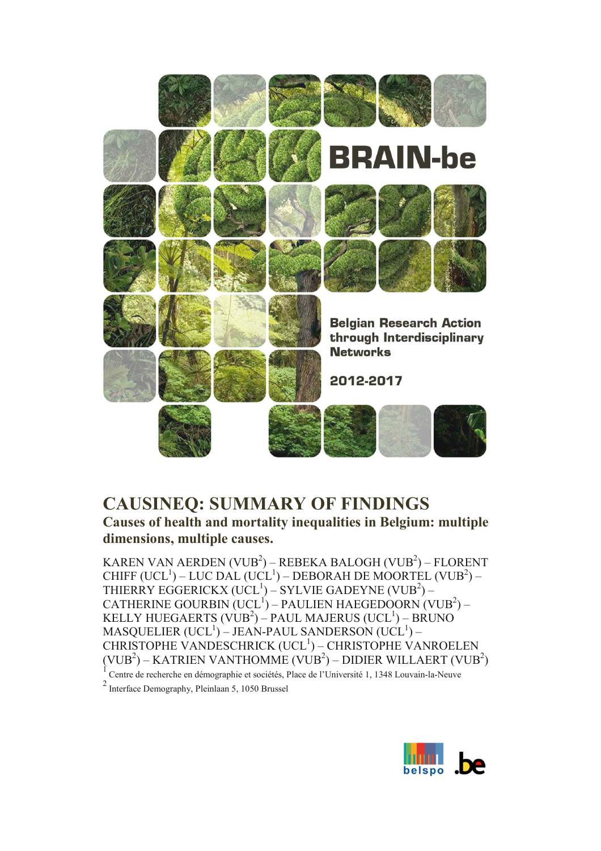

# **CAUSINEQ: SUMMARY OF FINDINGS**

**Causes of health and mortality inequalities in Belgium: multiple dimensions, multiple causes.**

KAREN VAN AERDEN (VUB $^2$ ) – REBEKA BALOGH (VUB $^2$ ) – FLORENT CHIFF (UCL<sup>1</sup>) – LUC DAL (UCL<sup>1</sup>) – DEBORAH DE MOORTEL (VUB<sup>2</sup>) – THIERRY EGGERICKX  $(\mathrm{UCL}^1) - \mathrm{SYLVIE}$  GADEYNE  $(\mathrm{VUB}^2) \mathtt{CATHERINE}$  GOURBIN (UCL  $^{\mathrm{I}}$ ) – <code>PAULIEN</code> HAEGEDOORN (VUB $^{\mathrm{2}}$ ) – KELLY HUEGAERTS (VUB $^2$ ) – PAUL MAJERUS (UCL $^1$ ) – BRUNO  $\mathrm{MASQUELIER\,(UCL^1)}$  – JEAN-PAUL SANDERSON (UCL $^1$ ) – CHRISTOPHE VANDESCHRICK (UCL<sup>1</sup>) – CHRISTOPHE VANROELEN (VUB $^2$ ) – KATRIEN VANTHOMME (VUB $^2$ ) – DIDIER WILLAERT (VUB $^2$ )  $1$  Centre de recherche en démographie et sociétés, Place de l'Université 1, 1348 Louvain-la-Neuve

<sup>2</sup> Interface Demography, Pleinlaan 5, 1050 Brussel

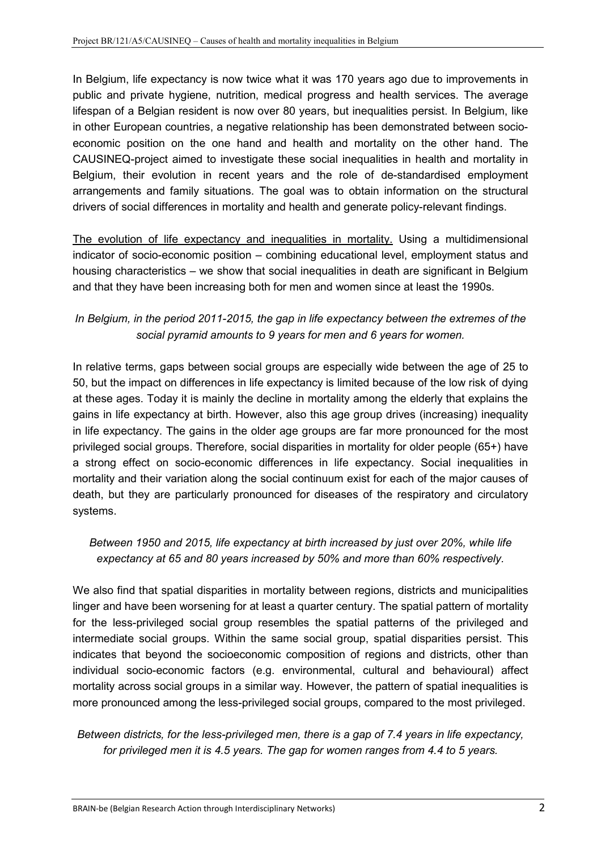In Belgium, life expectancy is now twice what it was 170 years ago due to improvements in public and private hygiene, nutrition, medical progress and health services. The average lifespan of a Belgian resident is now over 80 years, but inequalities persist. In Belgium, like in other European countries, a negative relationship has been demonstrated between socioeconomic position on the one hand and health and mortality on the other hand. The CAUSINEQ-project aimed to investigate these social inequalities in health and mortality in Belgium, their evolution in recent years and the role of de-standardised employment arrangements and family situations. The goal was to obtain information on the structural drivers of social differences in mortality and health and generate policy-relevant findings.

The evolution of life expectancy and inequalities in mortality. Using a multidimensional indicator of socio-economic position – combining educational level, employment status and housing characteristics – we show that social inequalities in death are significant in Belgium and that they have been increasing both for men and women since at least the 1990s.

## *In Belgium, in the period 2011-2015, the gap in life expectancy between the extremes of the social pyramid amounts to 9 years for men and 6 years for women.*

In relative terms, gaps between social groups are especially wide between the age of 25 to 50, but the impact on differences in life expectancy is limited because of the low risk of dying at these ages. Today it is mainly the decline in mortality among the elderly that explains the gains in life expectancy at birth. However, also this age group drives (increasing) inequality in life expectancy. The gains in the older age groups are far more pronounced for the most privileged social groups. Therefore, social disparities in mortality for older people (65+) have a strong effect on socio-economic differences in life expectancy. Social inequalities in mortality and their variation along the social continuum exist for each of the major causes of death, but they are particularly pronounced for diseases of the respiratory and circulatory systems.

## *Between 1950 and 2015, life expectancy at birth increased by just over 20%, while life expectancy at 65 and 80 years increased by 50% and more than 60% respectively.*

We also find that spatial disparities in mortality between regions, districts and municipalities linger and have been worsening for at least a quarter century. The spatial pattern of mortality for the less-privileged social group resembles the spatial patterns of the privileged and intermediate social groups. Within the same social group, spatial disparities persist. This indicates that beyond the socioeconomic composition of regions and districts, other than individual socio-economic factors (e.g. environmental, cultural and behavioural) affect mortality across social groups in a similar way. However, the pattern of spatial inequalities is more pronounced among the less-privileged social groups, compared to the most privileged.

## *Between districts, for the less-privileged men, there is a gap of 7.4 years in life expectancy, for privileged men it is 4.5 years. The gap for women ranges from 4.4 to 5 years.*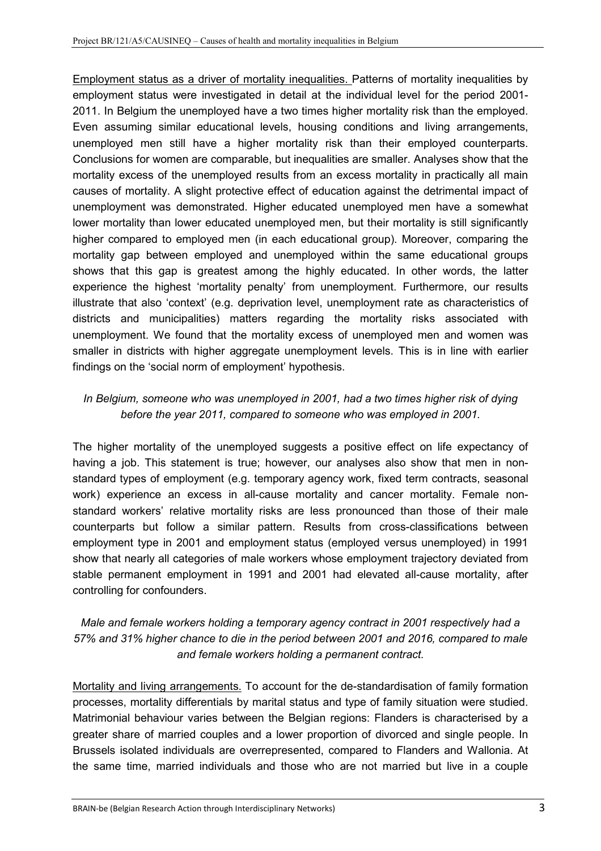Employment status as a driver of mortality inequalities. Patterns of mortality inequalities by employment status were investigated in detail at the individual level for the period 2001- 2011. In Belgium the unemployed have a two times higher mortality risk than the employed. Even assuming similar educational levels, housing conditions and living arrangements, unemployed men still have a higher mortality risk than their employed counterparts. Conclusions for women are comparable, but inequalities are smaller. Analyses show that the mortality excess of the unemployed results from an excess mortality in practically all main causes of mortality. A slight protective effect of education against the detrimental impact of unemployment was demonstrated. Higher educated unemployed men have a somewhat lower mortality than lower educated unemployed men, but their mortality is still significantly higher compared to employed men (in each educational group). Moreover, comparing the mortality gap between employed and unemployed within the same educational groups shows that this gap is greatest among the highly educated. In other words, the latter experience the highest 'mortality penalty' from unemployment. Furthermore, our results illustrate that also 'context' (e.g. deprivation level, unemployment rate as characteristics of districts and municipalities) matters regarding the mortality risks associated with unemployment. We found that the mortality excess of unemployed men and women was smaller in districts with higher aggregate unemployment levels. This is in line with earlier findings on the 'social norm of employment' hypothesis.

## *In Belgium, someone who was unemployed in 2001, had a two times higher risk of dying before the year 2011, compared to someone who was employed in 2001.*

The higher mortality of the unemployed suggests a positive effect on life expectancy of having a job. This statement is true; however, our analyses also show that men in nonstandard types of employment (e.g. temporary agency work, fixed term contracts, seasonal work) experience an excess in all-cause mortality and cancer mortality. Female nonstandard workers' relative mortality risks are less pronounced than those of their male counterparts but follow a similar pattern. Results from cross-classifications between employment type in 2001 and employment status (employed versus unemployed) in 1991 show that nearly all categories of male workers whose employment trajectory deviated from stable permanent employment in 1991 and 2001 had elevated all-cause mortality, after controlling for confounders.

## *Male and female workers holding a temporary agency contract in 2001 respectively had a 57% and 31% higher chance to die in the period between 2001 and 2016, compared to male and female workers holding a permanent contract.*

Mortality and living arrangements. To account for the de-standardisation of family formation processes, mortality differentials by marital status and type of family situation were studied. Matrimonial behaviour varies between the Belgian regions: Flanders is characterised by a greater share of married couples and a lower proportion of divorced and single people. In Brussels isolated individuals are overrepresented, compared to Flanders and Wallonia. At the same time, married individuals and those who are not married but live in a couple